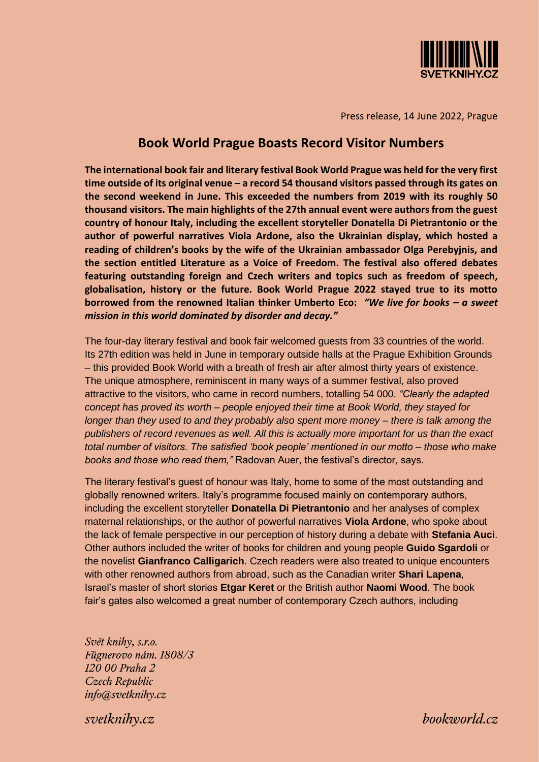

Press release, 14 June 2022, Prague

# **Book World Prague Boasts Record Visitor Numbers**

**The international book fair and literary festival Book World Prague was held for the very first time outside of its original venue – a record 54 thousand visitors passed through its gates on the second weekend in June. This exceeded the numbers from 2019 with its roughly 50 thousand visitors. The main highlights of the 27th annual event were authors from the guest country of honour Italy, including the excellent storyteller Donatella Di Pietrantonio or the author of powerful narratives Viola Ardone, also the Ukrainian display, which hosted a reading of children's books by the wife of the Ukrainian ambassador Olga Perebyjnis, and the section entitled Literature as a Voice of Freedom. The festival also offered debates featuring outstanding foreign and Czech writers and topics such as freedom of speech, globalisation, history or the future. Book World Prague 2022 stayed true to its motto borrowed from the renowned Italian thinker Umberto Eco:** *"We live for books – a sweet mission in this world dominated by disorder and decay."*

The four-day literary festival and book fair welcomed guests from 33 countries of the world. Its 27th edition was held in June in temporary outside halls at the Prague Exhibition Grounds – this provided Book World with a breath of fresh air after almost thirty years of existence. The unique atmosphere, reminiscent in many ways of a summer festival, also proved attractive to the visitors, who came in record numbers, totalling 54 000. *"Clearly the adapted concept has proved its worth – people enjoyed their time at Book World, they stayed for longer than they used to and they probably also spent more money – there is talk among the publishers of record revenues as well. All this is actually more important for us than the exact total number of visitors. The satisfied 'book people' mentioned in our motto – those who make books and those who read them,"* Radovan Auer, the festival's director, says.

The literary festival's guest of honour was Italy, home to some of the most outstanding and globally renowned writers. Italy's programme focused mainly on contemporary authors, including the excellent storyteller **Donatella Di Pietrantonio** and her analyses of complex maternal relationships, or the author of powerful narratives **Viola Ardone**, who spoke about the lack of female perspective in our perception of history during a debate with **Stefania Auci**. Other authors included the writer of books for children and young people **Guido Sgardoli** or the novelist **Gianfranco Calligarich**. Czech readers were also treated to unique encounters with other renowned authors from abroad, such as the Canadian writer **Shari Lapena**, Israel's master of short stories **Etgar Keret** or the British author **Naomi Wood**. The book fair's gates also welcomed a great number of contemporary Czech authors, including

Svět knihy, s.r.o. Fügnerovo nám. 1808/3 120 00 Praha 2 Czech Republic info@svetknihy.cz

svetknihy.cz

 $book$ vorld. $cz$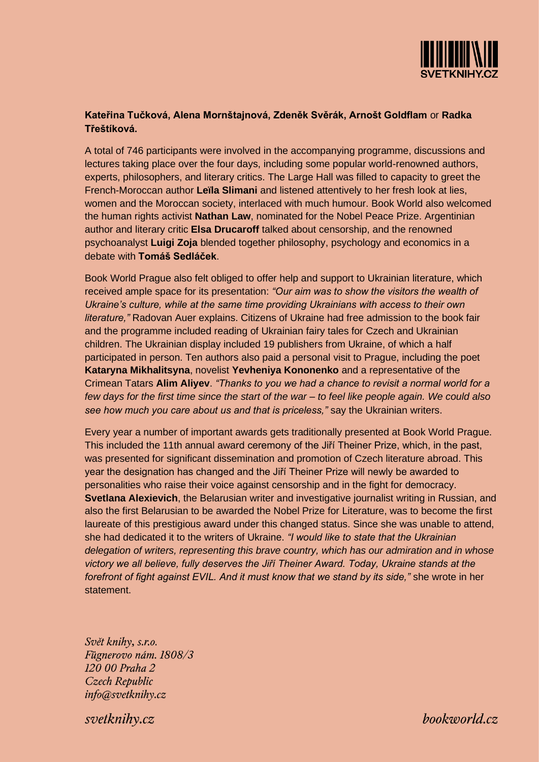

# **Kateřina Tučková, Alena Mornštajnová, Zdeněk Svěrák, Arnošt Goldflam** or **Radka Třeštíková.**

A total of 746 participants were involved in the accompanying programme, discussions and lectures taking place over the four days, including some popular world-renowned authors, experts, philosophers, and literary critics. The Large Hall was filled to capacity to greet the French-Moroccan author **Leïla Slimani** and listened attentively to her fresh look at lies, women and the Moroccan society, interlaced with much humour. Book World also welcomed the human rights activist **Nathan Law**, nominated for the Nobel Peace Prize. Argentinian author and literary critic **Elsa Drucaroff** talked about censorship, and the renowned psychoanalyst **Luigi Zoja** blended together philosophy, psychology and economics in a debate with **Tomáš Sedláček**.

Book World Prague also felt obliged to offer help and support to Ukrainian literature, which received ample space for its presentation: *"Our aim was to show the visitors the wealth of Ukraine's culture, while at the same time providing Ukrainians with access to their own literature,"* Radovan Auer explains. Citizens of Ukraine had free admission to the book fair and the programme included reading of Ukrainian fairy tales for Czech and Ukrainian children. The Ukrainian display included 19 publishers from Ukraine, of which a half participated in person. Ten authors also paid a personal visit to Prague, including the poet **Kataryna Mikhalitsyna**, novelist **Yevheniya Kononenko** and a representative of the Crimean Tatars **Alim Aliyev**. *"Thanks to you we had a chance to revisit a normal world for a few days for the first time since the start of the war – to feel like people again. We could also see how much you care about us and that is priceless,"* say the Ukrainian writers.

Every year a number of important awards gets traditionally presented at Book World Prague. This included the 11th annual award ceremony of the Jiří Theiner Prize, which, in the past, was presented for significant dissemination and promotion of Czech literature abroad. This year the designation has changed and the Jiří Theiner Prize will newly be awarded to personalities who raise their voice against censorship and in the fight for democracy. **Svetlana Alexievich**, the Belarusian writer and investigative journalist writing in Russian, and also the first Belarusian to be awarded the Nobel Prize for Literature, was to become the first laureate of this prestigious award under this changed status. Since she was unable to attend, she had dedicated it to the writers of Ukraine. *"I would like to state that the Ukrainian delegation of writers, representing this brave country, which has our admiration and in whose victory we all believe, fully deserves the Jiří Theiner Award. Today, Ukraine stands at the forefront of fight against EVIL. And it must know that we stand by its side,"* she wrote in her statement.

Svět knihy, s.r.o. Fügnerovo nám. 1808/3 120 00 Praha 2 Czech Republic info@svetknihy.cz

svetknihv.cz

 $book$ vorld. $cz$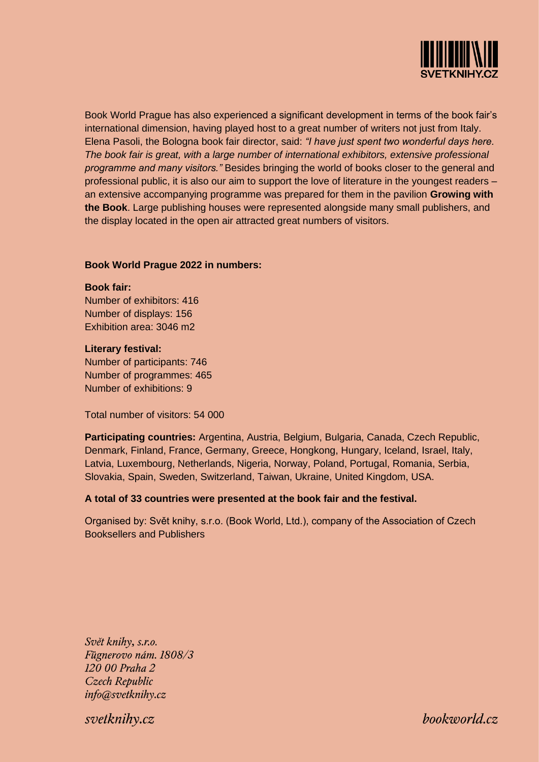

Book World Prague has also experienced a significant development in terms of the book fair's international dimension, having played host to a great number of writers not just from Italy. Elena Pasoli, the Bologna book fair director, said: *"I have just spent two wonderful days here. The book fair is great, with a large number of international exhibitors, extensive professional programme and many visitors."* Besides bringing the world of books closer to the general and professional public, it is also our aim to support the love of literature in the youngest readers – an extensive accompanying programme was prepared for them in the pavilion **Growing with the Book**. Large publishing houses were represented alongside many small publishers, and the display located in the open air attracted great numbers of visitors.

#### **Book World Prague 2022 in numbers:**

#### **Book fair:**

Number of exhibitors: 416 Number of displays: 156 Exhibition area: 3046 m2

#### **Literary festival:**

Number of participants: 746 Number of programmes: 465 Number of exhibitions: 9

Total number of visitors: 54 000

**Participating countries:** Argentina, Austria, Belgium, Bulgaria, Canada, Czech Republic, Denmark, Finland, France, Germany, Greece, Hongkong, Hungary, Iceland, Israel, Italy, Latvia, Luxembourg, Netherlands, Nigeria, Norway, Poland, Portugal, Romania, Serbia, Slovakia, Spain, Sweden, Switzerland, Taiwan, Ukraine, United Kingdom, USA.

### **A total of 33 countries were presented at the book fair and the festival.**

Organised by: Svět knihy, s.r.o. (Book World, Ltd.), company of the Association of Czech Booksellers and Publishers

Svět knihy, s.r.o. Fügnerovo nám. 1808/3 120 00 Praha 2 Czech Republic info@svetknihy.cz

svetknihv.cz

 $book$ vorld. $cz$